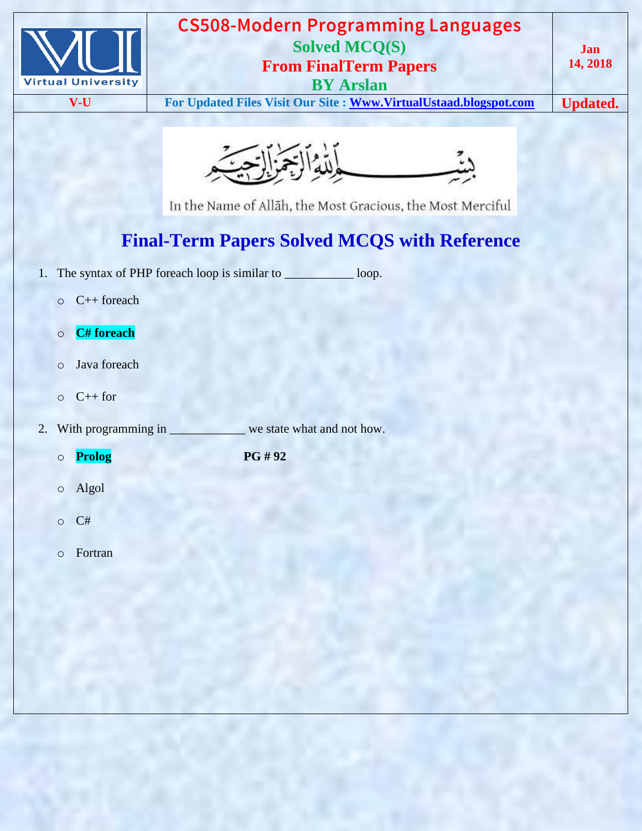



In the Name of Allāh, the Most Gracious, the Most Merciful

## **Final-Term Papers Solved MCQS with Reference**

- 1. The syntax of PHP foreach loop is similar to \_\_\_\_\_\_\_\_\_\_\_\_ loop.
	- o C++ foreach
	- o **C# foreach**
	- o Java foreach
	- $O + f$  for
- 2. With programming in \_\_\_\_\_\_\_\_\_\_\_\_\_ we state what and not how.
	- o **Prolog PG # 92**
- 

- o Algol
- o C#
- o Fortran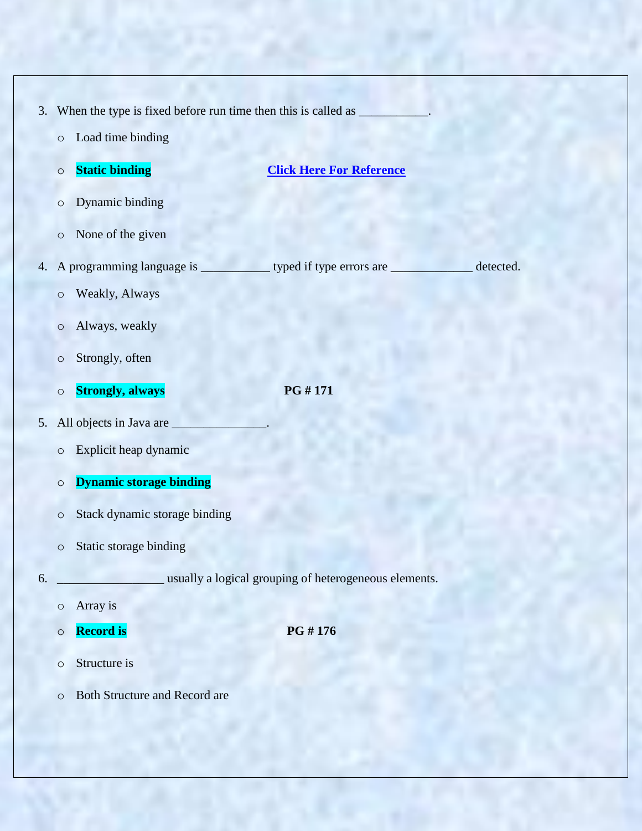| 3. |         | When the type is fixed before run time then this is called as |                                                       |
|----|---------|---------------------------------------------------------------|-------------------------------------------------------|
|    | $\circ$ | Load time binding                                             |                                                       |
|    | $\circ$ | <b>Static binding</b>                                         | <b>Click Here For Reference</b>                       |
|    | $\circ$ | Dynamic binding                                               |                                                       |
|    | $\circ$ | None of the given                                             |                                                       |
| 4. |         | A programming language is                                     | typed if type errors are _<br>detected.               |
|    | $\circ$ | Weakly, Always                                                |                                                       |
|    | $\circ$ | Always, weakly                                                |                                                       |
|    | $\circ$ | Strongly, often                                               |                                                       |
|    | $\circ$ | <b>Strongly, always</b>                                       | PG #171                                               |
| 5. |         | All objects in Java are                                       |                                                       |
|    | $\circ$ | Explicit heap dynamic                                         |                                                       |
|    | $\circ$ | <b>Dynamic storage binding</b>                                |                                                       |
|    | $\circ$ | Stack dynamic storage binding                                 |                                                       |
|    | $\circ$ | Static storage binding                                        |                                                       |
| 6. |         |                                                               | usually a logical grouping of heterogeneous elements. |
|    | $\circ$ | Array is                                                      |                                                       |
|    | $\circ$ | <b>Record is</b>                                              | PG #176                                               |
|    | $\circ$ | Structure is                                                  |                                                       |
|    | $\circ$ | <b>Both Structure and Record are</b>                          |                                                       |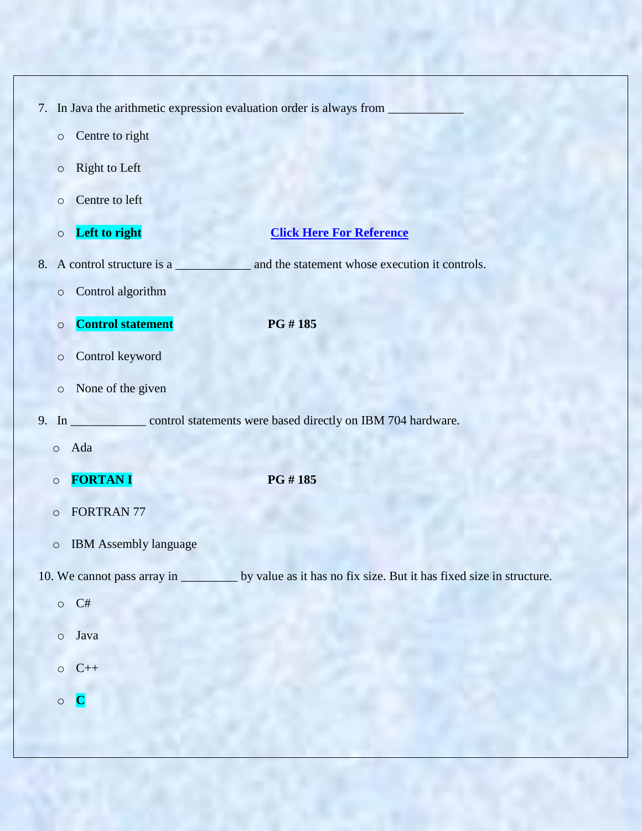|    |         |                              | 7. In Java the arithmetic expression evaluation order is always from                                       |
|----|---------|------------------------------|------------------------------------------------------------------------------------------------------------|
|    | $\circ$ | Centre to right              |                                                                                                            |
|    | $\circ$ | <b>Right to Left</b>         |                                                                                                            |
|    | $\circ$ | Centre to left               |                                                                                                            |
|    | $\circ$ | Left to right                | <b>Click Here For Reference</b>                                                                            |
|    |         | 8. A control structure is a  | and the statement whose execution it controls.                                                             |
|    | $\circ$ | Control algorithm            |                                                                                                            |
|    | $\circ$ | <b>Control statement</b>     | PG #185                                                                                                    |
|    | $\circ$ | Control keyword              |                                                                                                            |
|    | $\circ$ | None of the given            |                                                                                                            |
|    |         |                              |                                                                                                            |
| 9. | In      |                              | control statements were based directly on IBM 704 hardware.                                                |
|    | $\circ$ | Ada                          |                                                                                                            |
|    | $\circ$ | <b>FORTANI</b>               | PG #185                                                                                                    |
|    | $\circ$ | FORTRAN 77                   |                                                                                                            |
|    | $\circ$ | <b>IBM Assembly language</b> |                                                                                                            |
|    |         |                              | 10. We cannot pass array in __________ by value as it has no fix size. But it has fixed size in structure. |
|    | $\circ$ | C#                           |                                                                                                            |
|    | $\circ$ | Java                         |                                                                                                            |
|    | $\circ$ | $C++$                        |                                                                                                            |
|    | $\circ$ | $\mathbf C$                  |                                                                                                            |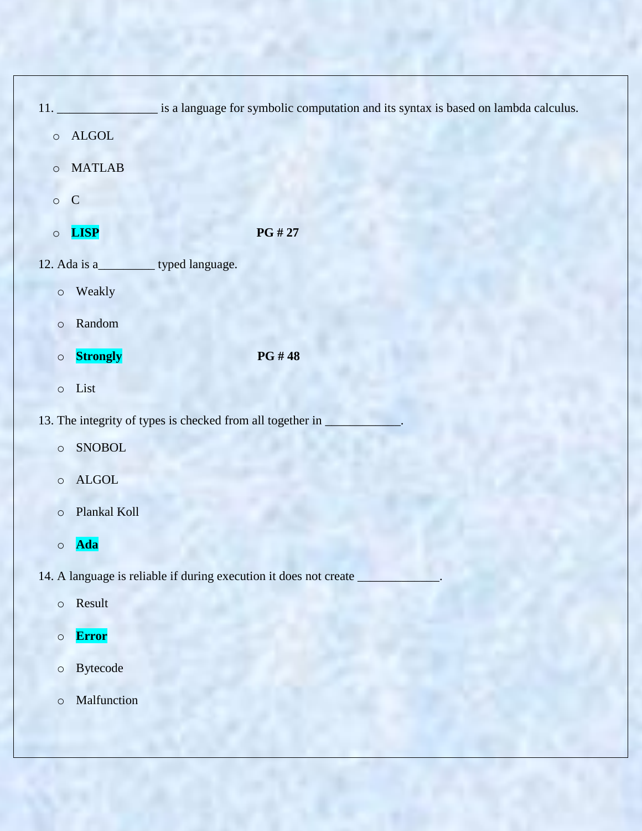|         | 11.                                                        | is a language for symbolic computation and its syntax is based on lambda calculus. |  |
|---------|------------------------------------------------------------|------------------------------------------------------------------------------------|--|
| $\circ$ | <b>ALGOL</b>                                               |                                                                                    |  |
| $\circ$ | <b>MATLAB</b>                                              |                                                                                    |  |
| $\circ$ | $\mathbf C$                                                |                                                                                    |  |
| $\circ$ | <b>LISP</b>                                                | PG # 27                                                                            |  |
|         | 12. Ada is a___________ typed language.                    |                                                                                    |  |
| $\circ$ | Weakly                                                     |                                                                                    |  |
| $\circ$ | Random                                                     |                                                                                    |  |
| $\circ$ | <b>Strongly</b>                                            | PG #48                                                                             |  |
| $\circ$ | List                                                       |                                                                                    |  |
|         | 13. The integrity of types is checked from all together in |                                                                                    |  |
| $\circ$ | <b>SNOBOL</b>                                              |                                                                                    |  |
| $\circ$ | <b>ALGOL</b>                                               |                                                                                    |  |
| $\circ$ | Plankal Koll                                               |                                                                                    |  |
| $\circ$ | <b>Ada</b>                                                 |                                                                                    |  |
|         |                                                            | 14. A language is reliable if during execution it does not create                  |  |
| $\circ$ | Result                                                     |                                                                                    |  |
| $\circ$ | <b>Error</b>                                               |                                                                                    |  |
| $\circ$ | <b>Bytecode</b>                                            |                                                                                    |  |
| $\circ$ | Malfunction                                                |                                                                                    |  |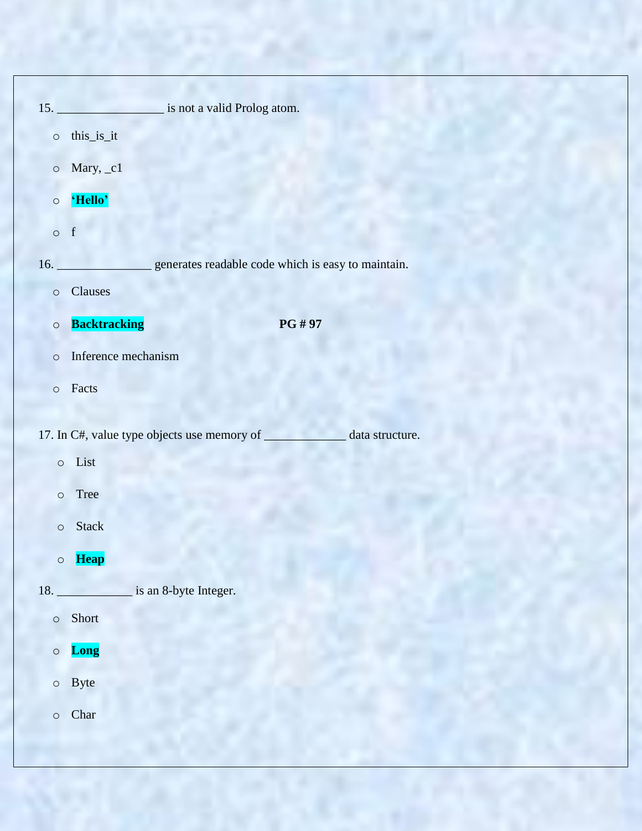| $\circ$ | this_is_it                                                                  |
|---------|-----------------------------------------------------------------------------|
| $\circ$ | Mary, _c1                                                                   |
| $\circ$ | 'Hello'                                                                     |
| $\circ$ | $\mathbf f$                                                                 |
|         | 16. ____________________ generates readable code which is easy to maintain. |
| $\circ$ | Clauses                                                                     |
| $\circ$ | <b>Backtracking</b><br>PG # 97                                              |
| $\circ$ | Inference mechanism                                                         |
| $\circ$ | Facts                                                                       |
|         | 17. In C#, value type objects use memory of _<br>data structure.            |
| $\circ$ | List                                                                        |
| $\circ$ | Tree                                                                        |
| $\circ$ | <b>Stack</b>                                                                |
|         | $\circ$ Heap                                                                |
|         |                                                                             |
|         | $\circ$ Short                                                               |
| $\circ$ | Long                                                                        |
| $\circ$ | <b>Byte</b>                                                                 |
| $\circ$ | Char                                                                        |
|         |                                                                             |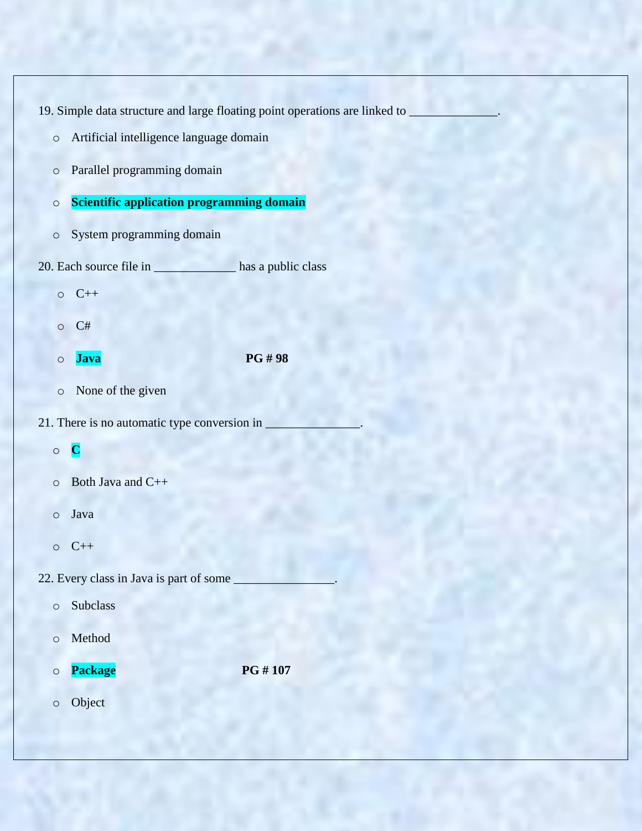19. Simple data structure and large floating point operations are linked to \_

- o Artificial intelligence language domain
- o Parallel programming domain
- o **Scientific application programming domain**
- o System programming domain
- 20. Each source file in \_\_\_\_\_\_\_\_\_\_\_\_\_ has a public class
	- $O$   $C++$
	- o C#
	- o **Java PG # 98**
	- o None of the given

21. There is no automatic type conversion in

- o **C**
- o Both Java and C++
- o Java
- o C++

22. Every class in Java is part of some

- o Subclass
- o Method
- o **Package PG # 107**
- o Object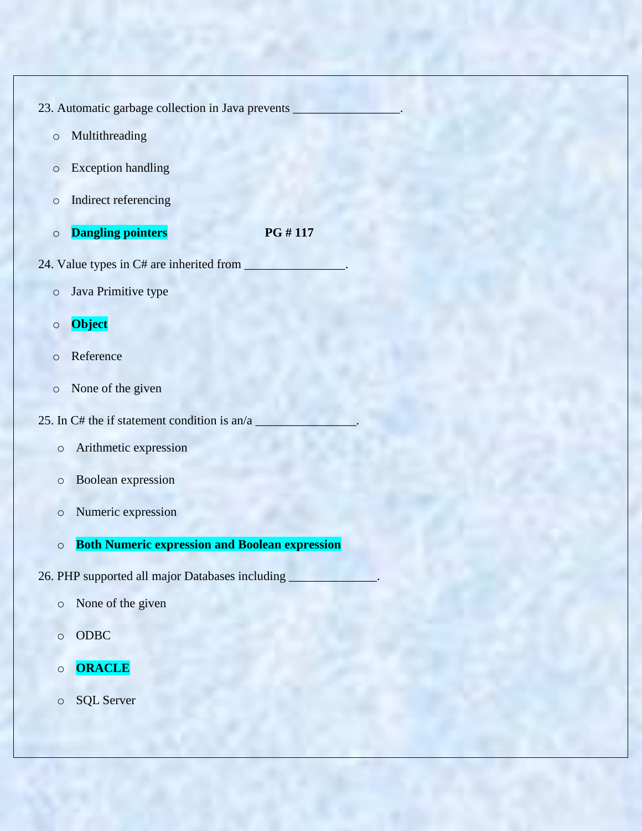- 23. Automatic garbage collection in Java prevents o Multithreading o Exception handling o Indirect referencing o **Dangling pointers PG # 117** 24. Value types in C# are inherited from o Java Primitive type o **Object** o Reference o None of the given 25. In  $C#$  the if statement condition is an/a o Arithmetic expression o Boolean expression o Numeric expression o **Both Numeric expression and Boolean expression** 26. PHP supported all major Databases including o None of the given o ODBC o **ORACLE**
	- o SQL Server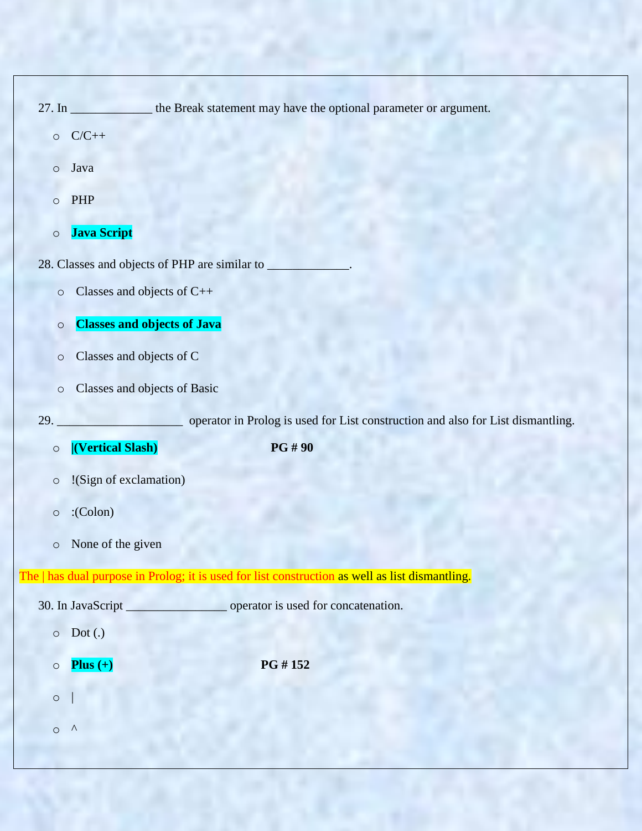|            | 27. In ______________ the Break statement may have the optional parameter or argument.          |
|------------|-------------------------------------------------------------------------------------------------|
|            | $O$ $C/C++$                                                                                     |
| $\circ$    | Java                                                                                            |
| $\circ$    | PHP                                                                                             |
| $\circ$    | Java Script                                                                                     |
|            | 28. Classes and objects of PHP are similar to                                                   |
| $\circ$    | Classes and objects of C++                                                                      |
| $\circ$    | <b>Classes and objects of Java</b>                                                              |
| $\circ$    | Classes and objects of C                                                                        |
| $\circ$    | Classes and objects of Basic                                                                    |
| 29.        | operator in Prolog is used for List construction and also for List dismantling.                 |
| $\circ$    | <b>PG#90</b><br>(Vertical Slash)                                                                |
| $\circ$    | !(Sign of exclamation)                                                                          |
| $\bigcirc$ | :Colon)                                                                                         |
| $\circ$    | None of the given                                                                               |
|            | The   has dual purpose in Prolog; it is used for list construction as well as list dismantling. |
|            | 30. In JavaScript<br>operator is used for concatenation.                                        |
| $\circ$    | Dot(.)                                                                                          |
| $\circ$    | PG #152<br>Plus $(+)$                                                                           |
| $\circ$    |                                                                                                 |
| $\circ$    | $\lambda$                                                                                       |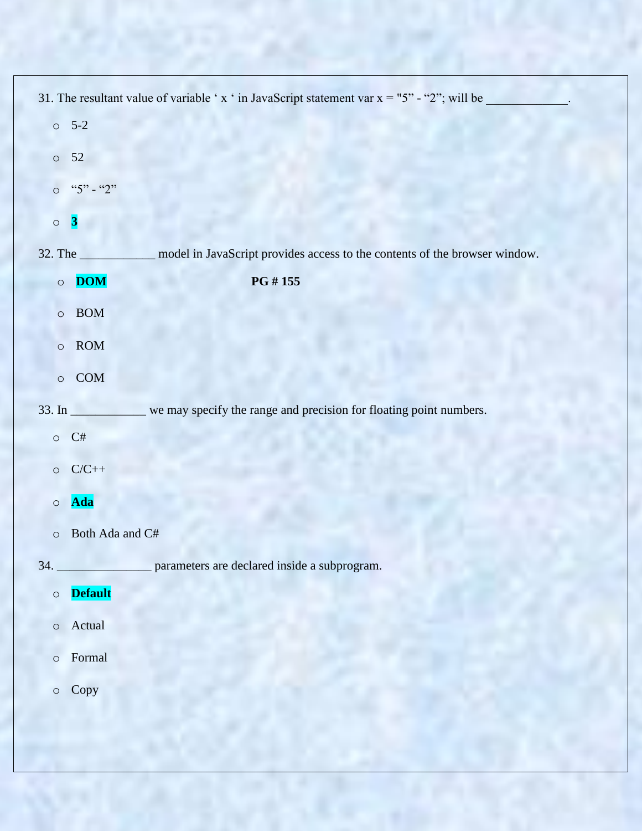| 31. The resultant value of variable 'x ' in JavaScript statement var $x = "5" - "2"$ ; will be |
|------------------------------------------------------------------------------------------------|
| $0 5-2$                                                                                        |
| 52<br>$\circ$                                                                                  |
| $``5" - "2"$<br>$\circ$                                                                        |
| $\boldsymbol{3}$<br>$\circ$                                                                    |
| 32. The ___________ model in JavaScript provides access to the contents of the browser window. |
| PG #155<br>$\circ$ DOM                                                                         |
| $\circ$<br><b>BOM</b>                                                                          |
| ROM<br>$\circ$                                                                                 |
| $\circ$ COM                                                                                    |
| 33. In ___________ we may specify the range and precision for floating point numbers.          |
| $\circ$ C#                                                                                     |
| $C/C++$<br>$\circ$                                                                             |
| <b>Ada</b><br>$\circ$                                                                          |
| Both Ada and C#<br>$\circ$                                                                     |
| 34.<br>parameters are declared inside a subprogram.                                            |
| <b>Default</b><br>$\circ$                                                                      |
| Actual<br>$\circ$                                                                              |
| Formal<br>$\circ$                                                                              |
| Copy<br>$\circ$                                                                                |
|                                                                                                |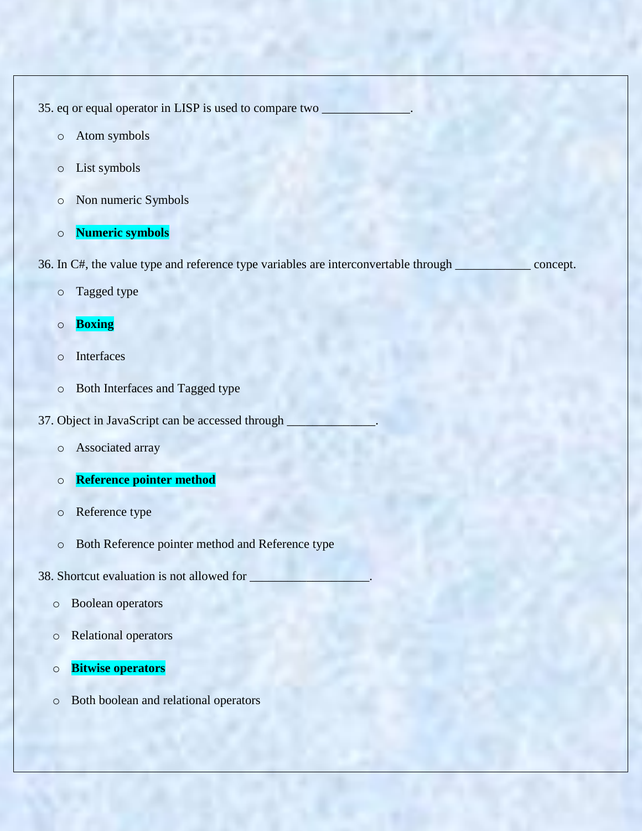35. eq or equal operator in LISP is used to compare two \_

- o Atom symbols
- o List symbols
- o Non numeric Symbols
- o **Numeric symbols**

36. In C#, the value type and reference type variables are interconvertable through \_\_\_\_\_\_\_\_\_\_\_\_ concept.

- o Tagged type
- o **Boxing**
- o Interfaces
- o Both Interfaces and Tagged type
- 37. Object in JavaScript can be accessed through
	- o Associated array
	- o **Reference pointer method**
	- o Reference type
	- o Both Reference pointer method and Reference type
- 38. Shortcut evaluation is not allowed for
	- o Boolean operators
	- o Relational operators
	- o **Bitwise operators**
	- o Both boolean and relational operators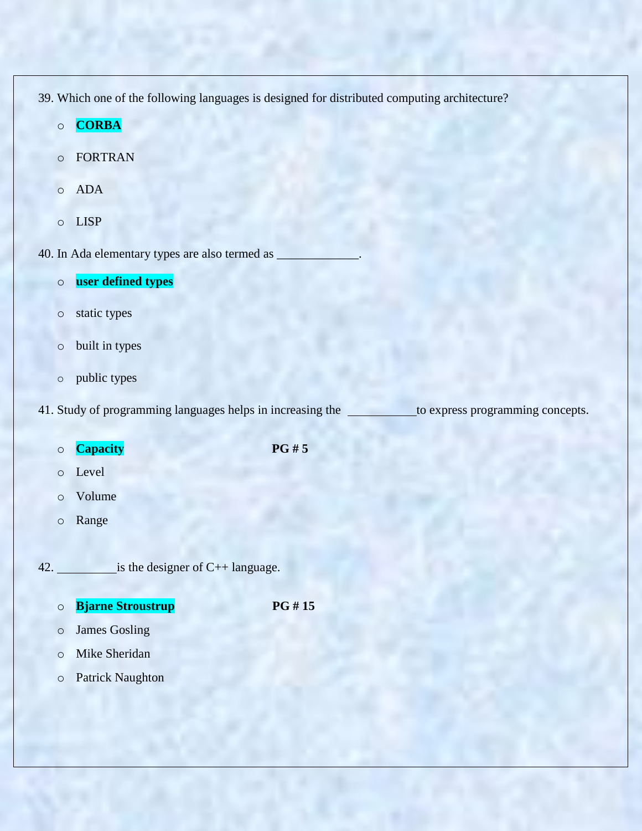39. Which one of the following languages is designed for distributed computing architecture?

- o **CORBA**
- o FORTRAN
- o ADA
- o LISP

40. In Ada elementary types are also termed as

- o **user defined types**
- o static types
- o built in types
- o public types

41. Study of programming languages helps in increasing the <u>the to express programming concepts</u>.

o **Capacity PG # 5**

- o Level
- o Volume
- o Range

42.  $\frac{\cdot}{\cdot}$  is the designer of C++ language.

o **Bjarne Stroustrup PG # 15**

- o James Gosling
- o Mike Sheridan
- o Patrick Naughton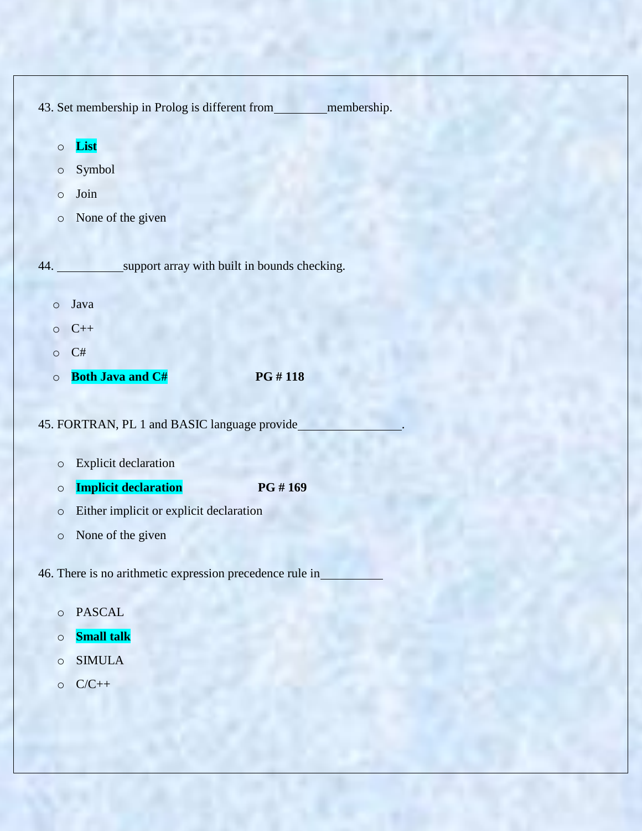|         | 43. Set membership in Prolog is different from           | membership. |
|---------|----------------------------------------------------------|-------------|
| $\circ$ | List                                                     |             |
| $\circ$ | Symbol                                                   |             |
| $\circ$ | Join                                                     |             |
| $\circ$ | None of the given                                        |             |
|         |                                                          |             |
| 44.     | support array with built in bounds checking.             |             |
|         |                                                          |             |
| $\circ$ | Java                                                     |             |
| $\circ$ | $C++$                                                    |             |
| $\circ$ | C#                                                       |             |
| $\circ$ | <b>Both Java and C#</b>                                  | PG #118     |
|         |                                                          |             |
|         | 45. FORTRAN, PL 1 and BASIC language provide             |             |
|         |                                                          |             |
| $\circ$ | <b>Explicit declaration</b>                              |             |
| O       | <b>Implicit declaration</b>                              | PG #169     |
| $\circ$ | Either implicit or explicit declaration                  |             |
| $\circ$ | None of the given                                        |             |
|         | 46. There is no arithmetic expression precedence rule in |             |

## o PASCAL

o **Small talk**

- o SIMULA
- $O$   $C/C++$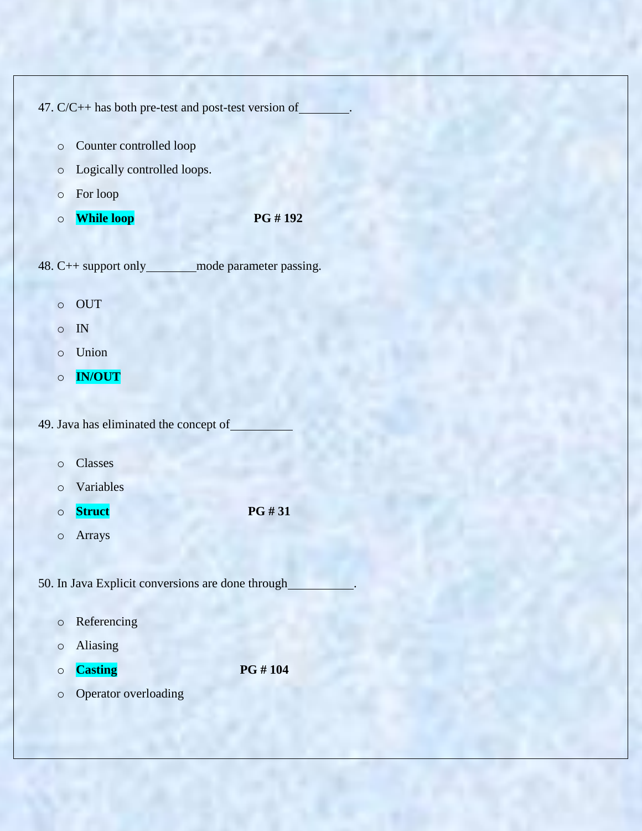47. C/C++ has both pre-test and post-test version of

- o Counter controlled loop
- o Logically controlled loops.
- o For loop
- o **While loop PG # 192**

48. C++ support only \_\_\_\_\_\_\_ mode parameter passing.

- o OUT
- o IN
- o Union
- o **IN/OUT**

49. Java has eliminated the concept of

- o Classes
- o Variables
- o **Struct PG # 31**
- o Arrays

50. In Java Explicit conversions are done through .

- o Referencing
- o Aliasing
- o **Casting PG # 104**
- o Operator overloading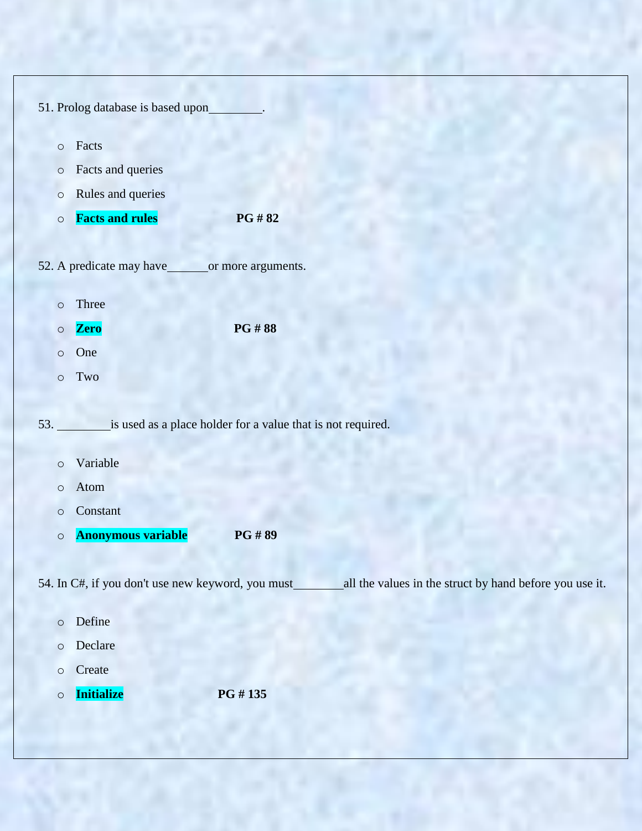|         | 51. Prolog database is based upon                  |                                                             |
|---------|----------------------------------------------------|-------------------------------------------------------------|
| $\circ$ | Facts                                              |                                                             |
| $\circ$ | Facts and queries                                  |                                                             |
| $\circ$ | Rules and queries                                  |                                                             |
| $\circ$ | <b>Facts and rules</b>                             | PG #82                                                      |
|         |                                                    |                                                             |
|         | 52. A predicate may have                           | or more arguments.                                          |
|         |                                                    |                                                             |
| $\circ$ | Three                                              |                                                             |
| $\circ$ | <b>Zero</b>                                        | <b>PG#88</b>                                                |
| $\circ$ | One                                                |                                                             |
| $\circ$ | Two                                                |                                                             |
| 53.     |                                                    | is used as a place holder for a value that is not required. |
| $\circ$ | Variable                                           |                                                             |
| $\circ$ | Atom                                               |                                                             |
| $\circ$ | Constant                                           |                                                             |
| $\circ$ | Anonymous variable                                 | PG#89                                                       |
|         |                                                    |                                                             |
|         | 54. In C#, if you don't use new keyword, you must_ | all the values in the struct by hand before you use it.     |
| $\circ$ | Define                                             |                                                             |
| $\circ$ | Declare                                            |                                                             |
| $\circ$ | Create                                             |                                                             |
| $\circ$ | <b>Initialize</b>                                  | PG #135                                                     |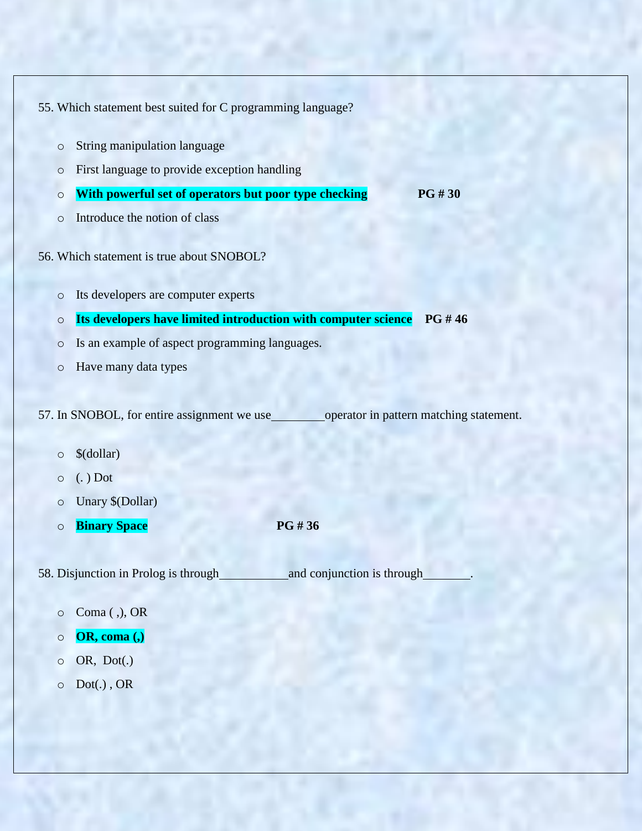55. Which statement best suited for C programming language?

- o String manipulation language
- o First language to provide exception handling
- o **With powerful set of operators but poor type checking PG # 30**
- o Introduce the notion of class

56. Which statement is true about SNOBOL?

- o Its developers are computer experts
- o **Its developers have limited introduction with computer science PG # 46**
- o Is an example of aspect programming languages.
- o Have many data types

57. In SNOBOL, for entire assignment we use operator in pattern matching statement.

- o \$(dollar)
- o (. ) Dot
- o Unary \$(Dollar)
- o **Binary Space PG # 36**

58. Disjunction in Prolog is through and conjunction is through .

- $\circ$  Coma (,), OR
- o **OR, coma (,)**
- $\circ$  OR, Dot(.)
- $\circ$  Dot(.), OR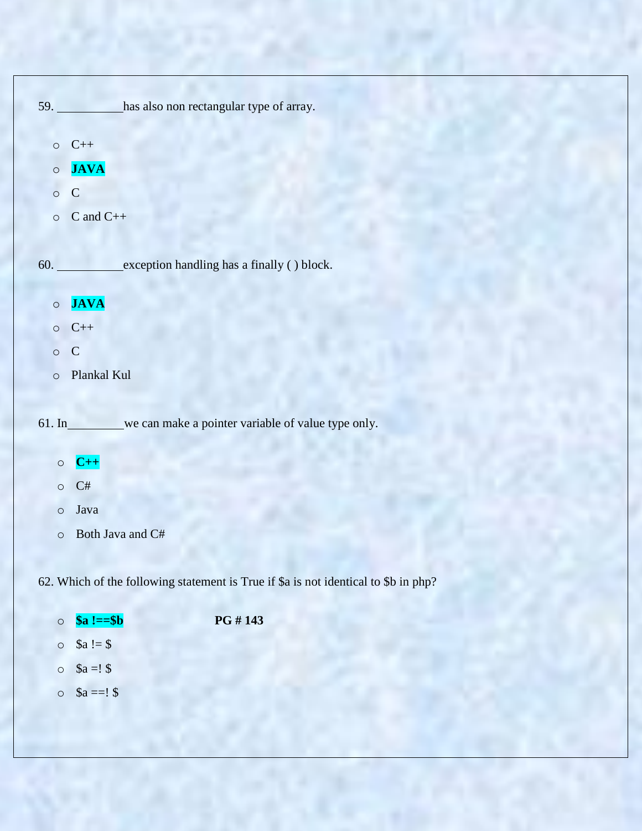|         | 59. has also non rectangular type of array.                                         |
|---------|-------------------------------------------------------------------------------------|
|         | $O$ $C++$                                                                           |
| $\circ$ | <b>JAVA</b>                                                                         |
| $\circ$ | ${\bf C}$                                                                           |
| $\circ$ | $C$ and $C++$                                                                       |
|         |                                                                                     |
|         | 60. exception handling has a finally () block.                                      |
|         |                                                                                     |
|         | $\circ$ JAVA                                                                        |
|         | $\circ$ C++                                                                         |
| $\circ$ | ${\bf C}$                                                                           |
| $\circ$ | Plankal Kul                                                                         |
|         |                                                                                     |
|         | 61. In we can make a pointer variable of value type only.                           |
|         | $\circ$ C++                                                                         |
| $\circ$ | C#                                                                                  |
| $\circ$ | Java                                                                                |
| $\circ$ | Both Java and C#                                                                    |
|         |                                                                                     |
|         | 62. Which of the following statement is True if \$a is not identical to \$b in php? |
| $\circ$ | PG #143<br>$a := sb$                                                                |
| $\circ$ | $a := s$                                                                            |

- $\circ$  \$a =! \$
- $\circ$  \$a ==!\$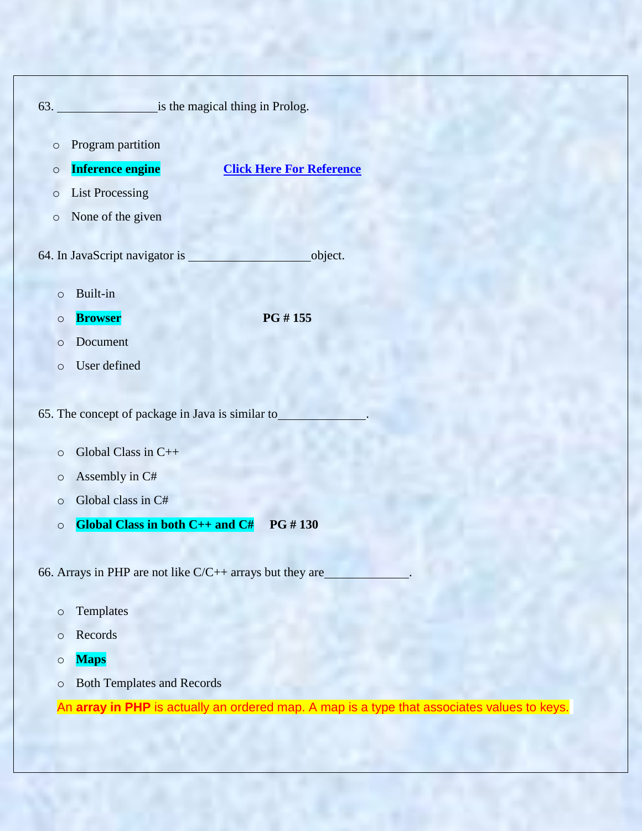

- o Records
- o **Maps**
- o Both Templates and Records

An **array in PHP** is actually an ordered map. A map is a type that associates values to keys.